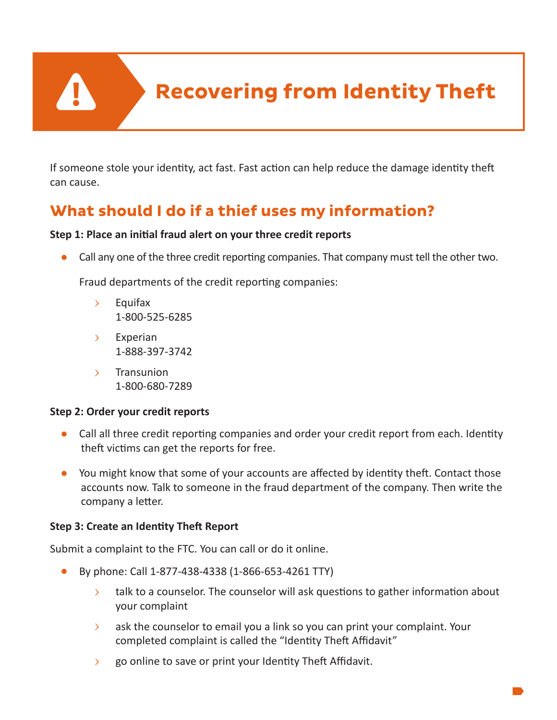**Recovering from Identity Theft**

If someone stole your identity, act fast. Fast action can help reduce the damage identity theft can cause.

# **What should I do if a thief uses my information?**

### **Step 1: Place an inital fraud alert on your three credit reports**

• Call any one of the three credit reporting companies. That company must tell the other two.

Fraud departments of the credit reporting companies:

- > Equifax 1-800-525-6285
- > Experian 1-888-397-3742
- > Transunion 1-800-680-7289

### **Step 2: Order your credit reports**

- Call all three credit reporting companies and order your credit report from each. Identity theft victims can get the reports for free.
- You might know that some of your accounts are afected by identty thef. Contact those accounts now. Talk to someone in the fraud department of the company. Then write the company a letter.

### **Step 3: Create an Identity Theft Report**

Submit a complaint to the FTC. You can call or do it online.

- By phone: Call 1-877-438-4338 (1-866-653-4261 TTY)
	- $\lambda$  talk to a counselor. The counselor will ask questions to gather information about your complaint
	- $\geq$  ask the counselor to email you a link so you can print your complaint. Your completed complaint is called the "Identity Theft Affidavit"
	- $\ge$  go online to save or print your Identity Theft Affidavit.